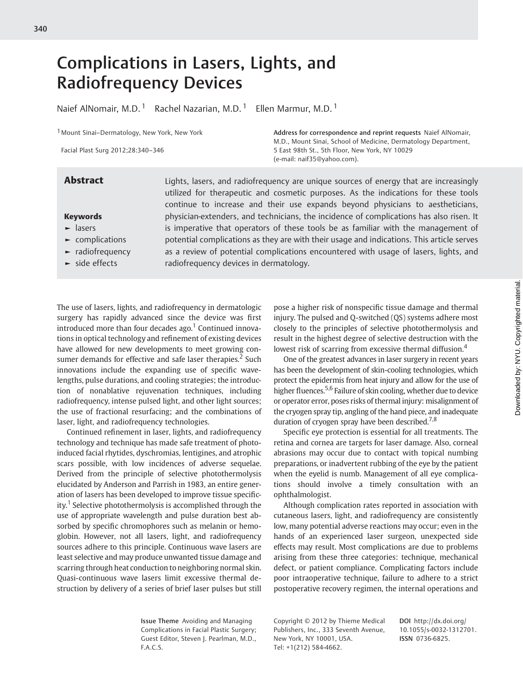# Complications in Lasers, Lights, and Radiofrequency Devices

Naief AlNomair, M.D.<sup>1</sup> Rachel Nazarian, M.D.<sup>1</sup> Ellen Marmur, M.D.<sup>1</sup>

1 Mount Sinai–Dermatology, New York, New York

Facial Plast Surg 2012;28:340–346

Address for correspondence and reprint requests Naief AlNomair, M.D., Mount Sinai, School of Medicine, Dermatology Department, 5 East 98th St., 5th Floor, New York, NY 10029 (e-mail: naif35@yahoo.com).

#### Keywords ► lasers ► complications ► radiofrequency ► side effects Abstract Lights, lasers, and radiofrequency are unique sources of energy that are increasingly utilized for therapeutic and cosmetic purposes. As the indications for these tools continue to increase and their use expands beyond physicians to aestheticians, physician-extenders, and technicians, the incidence of complications has also risen. It is imperative that operators of these tools be as familiar with the management of potential complications as they are with their usage and indications. This article serves as a review of potential complications encountered with usage of lasers, lights, and radiofrequency devices in dermatology.

The use of lasers, lights, and radiofrequency in dermatologic surgery has rapidly advanced since the device was first introduced more than four decades ago.<sup>1</sup> Continued innovations in optical technology and refinement of existing devices have allowed for new developments to meet growing consumer demands for effective and safe laser therapies.<sup>2</sup> Such innovations include the expanding use of specific wavelengths, pulse durations, and cooling strategies; the introduction of nonablative rejuvenation techniques, including radiofrequency, intense pulsed light, and other light sources; the use of fractional resurfacing; and the combinations of laser, light, and radiofrequency technologies.

Continued refinement in laser, lights, and radiofrequency technology and technique has made safe treatment of photoinduced facial rhytides, dyschromias, lentigines, and atrophic scars possible, with low incidences of adverse sequelae. Derived from the principle of selective photothermolysis elucidated by Anderson and Parrish in 1983, an entire generation of lasers has been developed to improve tissue specificity.<sup>1</sup> Selective photothermolysis is accomplished through the use of appropriate wavelength and pulse duration best absorbed by specific chromophores such as melanin or hemoglobin. However, not all lasers, light, and radiofrequency sources adhere to this principle. Continuous wave lasers are least selective and may produce unwanted tissue damage and scarring through heat conduction to neighboring normal skin. Quasi-continuous wave lasers limit excessive thermal destruction by delivery of a series of brief laser pulses but still

pose a higher risk of nonspecific tissue damage and thermal injury. The pulsed and Q-switched (QS) systems adhere most closely to the principles of selective photothermolysis and result in the highest degree of selective destruction with the lowest risk of scarring from excessive thermal diffusion.<sup>4</sup>

One of the greatest advances in laser surgery in recent years has been the development of skin-cooling technologies, which protect the epidermis from heat injury and allow for the use of higher fluences.<sup>5,6</sup> Failure of skin cooling, whether due to device or operator error, poses risks of thermal injury: misalignment of the cryogen spray tip, angling of the hand piece, and inadequate duration of cryogen spray have been described.<sup>7,8</sup>

Specific eye protection is essential for all treatments. The retina and cornea are targets for laser damage. Also, corneal abrasions may occur due to contact with topical numbing preparations, or inadvertent rubbing of the eye by the patient when the eyelid is numb. Management of all eye complications should involve a timely consultation with an ophthalmologist.

Although complication rates reported in association with cutaneous lasers, light, and radiofrequency are consistently low, many potential adverse reactions may occur; even in the hands of an experienced laser surgeon, unexpected side effects may result. Most complications are due to problems arising from these three categories: technique, mechanical defect, or patient compliance. Complicating factors include poor intraoperative technique, failure to adhere to a strict postoperative recovery regimen, the internal operations and

Issue Theme Avoiding and Managing Complications in Facial Plastic Surgery; Guest Editor, Steven J. Pearlman, M.D., F.A.C.S.

Copyright © 2012 by Thieme Medical Publishers, Inc., 333 Seventh Avenue, New York, NY 10001, USA. Tel: +1(212) 584-4662.

DOI http://dx.doi.org/ 10.1055/s-0032-1312701. ISSN 0736-6825.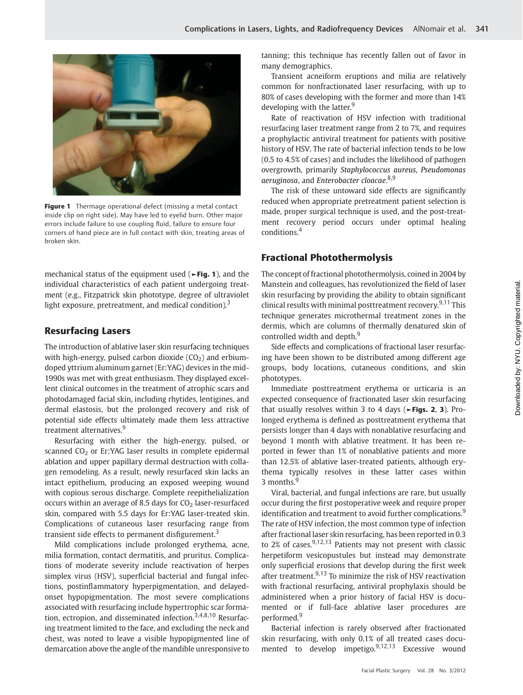

Figure 1 Thermage operational defect (missing a metal contact inside clip on right side). May have led to eyelid burn. Other major errors include failure to use coupling fluid, failure to ensure four corners of hand piece are in full contact with skin, treating areas of broken skin.

mechanical status of the equipment used (►Fig. 1), and the individual characteristics of each patient undergoing treatment (e.g., Fitzpatrick skin phototype, degree of ultraviolet light exposure, pretreatment, and medical condition). $3$ 

#### Resurfacing Lasers

The introduction of ablative laser skin resurfacing techniques with high-energy, pulsed carbon dioxide  $(CO<sub>2</sub>)$  and erbiumdoped yttrium aluminum garnet (Er:YAG) devices in the mid-1990s was met with great enthusiasm. They displayed excellent clinical outcomes in the treatment of atrophic scars and photodamaged facial skin, including rhytides, lentigines, and dermal elastosis, but the prolonged recovery and risk of potential side effects ultimately made them less attractive treatment alternatives.<sup>9</sup>

Resurfacing with either the high-energy, pulsed, or scanned  $CO<sub>2</sub>$  or Er:YAG laser results in complete epidermal ablation and upper papillary dermal destruction with collagen remodeling. As a result, newly resurfaced skin lacks an intact epithelium, producing an exposed weeping wound with copious serous discharge. Complete reepithelialization occurs within an average of 8.5 days for  $CO<sub>2</sub>$  laser-resurfaced skin, compared with 5.5 days for Er:YAG laser-treated skin. Complications of cutaneous laser resurfacing range from transient side effects to permanent disfigurement.<sup>3</sup>

Mild complications include prolonged erythema, acne, milia formation, contact dermatitis, and pruritus. Complications of moderate severity include reactivation of herpes simplex virus (HSV), superficial bacterial and fungal infections, postinflammatory hyperpigmentation, and delayedonset hypopigmentation. The most severe complications associated with resurfacing include hypertrophic scar formation, ectropion, and disseminated infection. $3,4,8,10$  Resurfacing treatment limited to the face, and excluding the neck and chest, was noted to leave a visible hypopigmented line of demarcation above the angle of the mandible unresponsive to tanning; this technique has recently fallen out of favor in many demographics.

Transient acneiform eruptions and milia are relatively common for nonfractionated laser resurfacing, with up to 80% of cases developing with the former and more than 14% developing with the latter.<sup>9</sup>

Rate of reactivation of HSV infection with traditional resurfacing laser treatment range from 2 to 7%, and requires a prophylactic antiviral treatment for patients with positive history of HSV. The rate of bacterial infection tends to be low (0.5 to 4.5% of cases) and includes the likelihood of pathogen overgrowth, primarily Staphylococcus aureus, Pseudomonas aeruginosa, and Enterobacter cloacae.<sup>8,9</sup>

The risk of these untoward side effects are significantly reduced when appropriate pretreatment patient selection is made, proper surgical technique is used, and the post-treatment recovery period occurs under optimal healing conditions.<sup>4</sup>

#### Fractional Photothermolysis

The concept of fractional photothermolysis, coined in 2004 by Manstein and colleagues, has revolutionized the field of laser skin resurfacing by providing the ability to obtain significant clinical results with minimal posttreatment recovery.<sup>9,11</sup> This technique generates microthermal treatment zones in the dermis, which are columns of thermally denatured skin of controlled width and depth.<sup>9</sup>

Side effects and complications of fractional laser resurfacing have been shown to be distributed among different age groups, body locations, cutaneous conditions, and skin phototypes.

Immediate posttreatment erythema or urticaria is an expected consequence of fractionated laser skin resurfacing that usually resolves within 3 to 4 days ( $\blacktriangleright$  Figs. 2, 3). Prolonged erythema is defined as posttreatment erythema that persists longer than 4 days with nonablative resurfacing and beyond 1 month with ablative treatment. It has been reported in fewer than 1% of nonablative patients and more than 12.5% of ablative laser-treated patients, although erythema typically resolves in these latter cases within 3 months.<sup>9</sup>

Viral, bacterial, and fungal infections are rare, but usually occur during the first postoperative week and require proper identification and treatment to avoid further complications.<sup>9</sup> The rate of HSV infection, the most common type of infection after fractional laser skin resurfacing, has been reported in 0.3 to 2% of cases. $9,12,13$  Patients may not present with classic herpetiform vesicopustules but instead may demonstrate only superficial erosions that develop during the first week after treatment. $9,13$  To minimize the risk of HSV reactivation with fractional resurfacing, antiviral prophylaxis should be administered when a prior history of facial HSV is documented or if full-face ablative laser procedures are performed.<sup>9</sup>

Bacterial infection is rarely observed after fractionated skin resurfacing, with only 0.1% of all treated cases documented to develop impetigo.<sup>9,12,13</sup> Excessive wound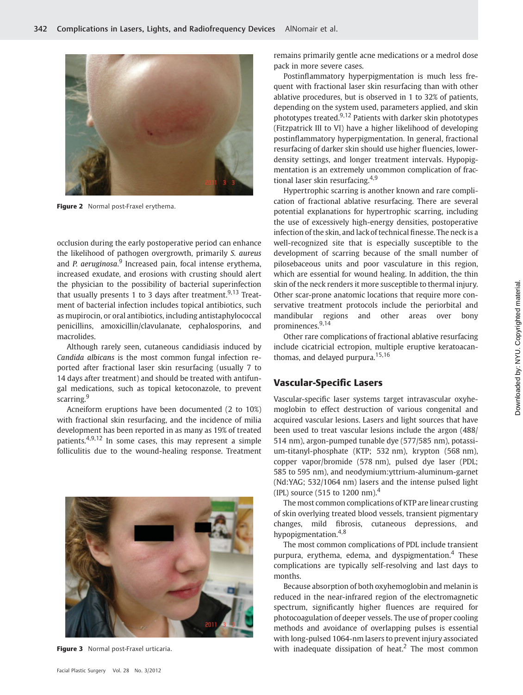

Figure 2 Normal post-Fraxel erythema.

occlusion during the early postoperative period can enhance the likelihood of pathogen overgrowth, primarily S. aureus and P. aeruginosa.<sup>9</sup> Increased pain, focal intense erythema, increased exudate, and erosions with crusting should alert the physician to the possibility of bacterial superinfection that usually presents 1 to 3 days after treatment.  $9,13$  Treatment of bacterial infection includes topical antibiotics, such as mupirocin, or oral antibiotics, including antistaphylococcal penicillins, amoxicillin/clavulanate, cephalosporins, and macrolides.

Although rarely seen, cutaneous candidiasis induced by Candida albicans is the most common fungal infection reported after fractional laser skin resurfacing (usually 7 to 14 days after treatment) and should be treated with antifungal medications, such as topical ketoconazole, to prevent scarring.<sup>9</sup>

Acneiform eruptions have been documented (2 to 10%) with fractional skin resurfacing, and the incidence of milia development has been reported in as many as 19% of treated patients.<sup>4,9,12</sup> In some cases, this may represent a simple folliculitis due to the wound-healing response. Treatment



Figure 3 Normal post-Fraxel urticaria.

remains primarily gentle acne medications or a medrol dose pack in more severe cases.

Postinflammatory hyperpigmentation is much less frequent with fractional laser skin resurfacing than with other ablative procedures, but is observed in 1 to 32% of patients, depending on the system used, parameters applied, and skin phototypes treated.9,12 Patients with darker skin phototypes (Fitzpatrick III to VI) have a higher likelihood of developing postinflammatory hyperpigmentation. In general, fractional resurfacing of darker skin should use higher fluencies, lowerdensity settings, and longer treatment intervals. Hypopigmentation is an extremely uncommon complication of fractional laser skin resurfacing.<sup>4,9</sup>

Hypertrophic scarring is another known and rare complication of fractional ablative resurfacing. There are several potential explanations for hypertrophic scarring, including the use of excessively high-energy densities, postoperative infection of the skin, and lack of technical finesse. The neck is a well-recognized site that is especially susceptible to the development of scarring because of the small number of pilosebaceous units and poor vasculature in this region, which are essential for wound healing. In addition, the thin skin of the neck renders it more susceptible to thermal injury. Other scar-prone anatomic locations that require more conservative treatment protocols include the periorbital and mandibular regions and other areas over bony prominences.9,14

Other rare complications of fractional ablative resurfacing include cicatricial ectropion, multiple eruptive keratoacanthomas, and delayed purpura. $15,16$ 

#### Vascular-Specific Lasers

Vascular-specific laser systems target intravascular oxyhemoglobin to effect destruction of various congenital and acquired vascular lesions. Lasers and light sources that have been used to treat vascular lesions include the argon (488/ 514 nm), argon-pumped tunable dye (577/585 nm), potassium-titanyl-phosphate (KTP; 532 nm), krypton (568 nm), copper vapor/bromide (578 nm), pulsed dye laser (PDL; 585 to 595 nm), and neodymium:yttrium-aluminum-garnet (Nd:YAG; 532/1064 nm) lasers and the intense pulsed light (IPL) source (515 to 1200 nm).<sup>4</sup>

The most common complications of KTP are linear crusting of skin overlying treated blood vessels, transient pigmentary changes, mild fibrosis, cutaneous depressions, and hypopigmentation.<sup>4,8</sup>

The most common complications of PDL include transient purpura, erythema, edema, and dyspigmentation.<sup>4</sup> These complications are typically self-resolving and last days to months.

Because absorption of both oxyhemoglobin and melanin is reduced in the near-infrared region of the electromagnetic spectrum, significantly higher fluences are required for photocoagulation of deeper vessels. The use of proper cooling methods and avoidance of overlapping pulses is essential with long-pulsed 1064-nm lasers to prevent injury associated with inadequate dissipation of heat.<sup>2</sup> The most common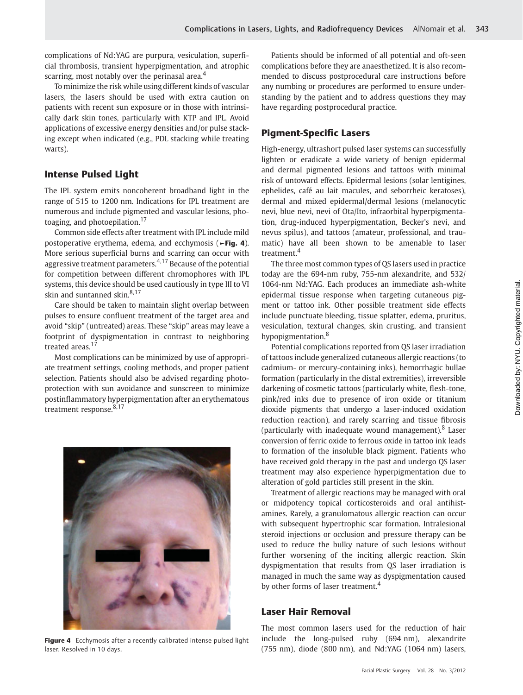complications of Nd:YAG are purpura, vesiculation, superficial thrombosis, transient hyperpigmentation, and atrophic scarring, most notably over the perinasal area. $4$ 

To minimize the risk while using different kinds of vascular lasers, the lasers should be used with extra caution on patients with recent sun exposure or in those with intrinsically dark skin tones, particularly with KTP and IPL. Avoid applications of excessive energy densities and/or pulse stacking except when indicated (e.g., PDL stacking while treating warts).

### Intense Pulsed Light

The IPL system emits noncoherent broadband light in the range of 515 to 1200 nm. Indications for IPL treatment are numerous and include pigmented and vascular lesions, photoaging, and photoepilation.<sup>17</sup>

Common side effects after treatment with IPL include mild postoperative erythema, edema, and ecchymosis (►Fig. 4). More serious superficial burns and scarring can occur with aggressive treatment parameters.4,17 Because of the potential for competition between different chromophores with IPL systems, this device should be used cautiously in type III to VI skin and suntanned skin. $8,17$ 

Care should be taken to maintain slight overlap between pulses to ensure confluent treatment of the target area and avoid "skip" (untreated) areas. These "skip" areas may leave a footprint of dyspigmentation in contrast to neighboring treated areas.<sup>17</sup>

Most complications can be minimized by use of appropriate treatment settings, cooling methods, and proper patient selection. Patients should also be advised regarding photoprotection with sun avoidance and sunscreen to minimize postinflammatory hyperpigmentation after an erythematous treatment response.<sup>8,17</sup>



Figure 4 Ecchymosis after a recently calibrated intense pulsed light laser. Resolved in 10 days.

Patients should be informed of all potential and oft-seen complications before they are anaesthetized. It is also recommended to discuss postprocedural care instructions before any numbing or procedures are performed to ensure understanding by the patient and to address questions they may have regarding postprocedural practice.

### Pigment-Specific Lasers

High-energy, ultrashort pulsed laser systems can successfully lighten or eradicate a wide variety of benign epidermal and dermal pigmented lesions and tattoos with minimal risk of untoward effects. Epidermal lesions (solar lentigines, ephelides, café au lait macules, and seborrheic keratoses), dermal and mixed epidermal/dermal lesions (melanocytic nevi, blue nevi, nevi of Ota/Ito, infraorbital hyperpigmentation, drug-induced hyperpigmentation, Becker's nevi, and nevus spilus), and tattoos (amateur, professional, and traumatic) have all been shown to be amenable to laser treatment.<sup>4</sup>

The three most common types of QS lasers used in practice today are the 694-nm ruby, 755-nm alexandrite, and 532/ 1064-nm Nd:YAG. Each produces an immediate ash-white epidermal tissue response when targeting cutaneous pigment or tattoo ink. Other possible treatment side effects include punctuate bleeding, tissue splatter, edema, pruritus, vesiculation, textural changes, skin crusting, and transient hypopigmentation.<sup>8</sup>

Potential complications reported from QS laser irradiation of tattoos include generalized cutaneous allergic reactions (to cadmium- or mercury-containing inks), hemorrhagic bullae formation (particularly in the distal extremities), irreversible darkening of cosmetic tattoos (particularly white, flesh-tone, pink/red inks due to presence of iron oxide or titanium dioxide pigments that undergo a laser-induced oxidation reduction reaction), and rarely scarring and tissue fibrosis (particularly with inadequate wound management).  $8$  Laser conversion of ferric oxide to ferrous oxide in tattoo ink leads to formation of the insoluble black pigment. Patients who have received gold therapy in the past and undergo QS laser treatment may also experience hyperpigmentation due to alteration of gold particles still present in the skin.

Treatment of allergic reactions may be managed with oral or midpotency topical corticosteroids and oral antihistamines. Rarely, a granulomatous allergic reaction can occur with subsequent hypertrophic scar formation. Intralesional steroid injections or occlusion and pressure therapy can be used to reduce the bulky nature of such lesions without further worsening of the inciting allergic reaction. Skin dyspigmentation that results from QS laser irradiation is managed in much the same way as dyspigmentation caused by other forms of laser treatment.<sup>4</sup>

#### Laser Hair Removal

The most common lasers used for the reduction of hair include the long-pulsed ruby (694 nm), alexandrite (755 nm), diode (800 nm), and Nd:YAG (1064 nm) lasers,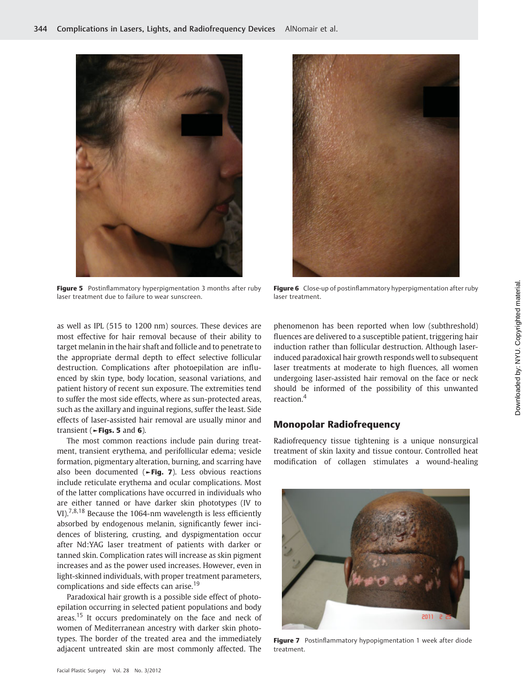

**Figure 5** Postinflammatory hyperpigmentation 3 months after ruby laser treatment due to failure to wear sunscreen.



Figure 6 Close-up of postinflammatory hyperpigmentation after ruby laser treatment.

as well as IPL (515 to 1200 nm) sources. These devices are most effective for hair removal because of their ability to target melanin in the hair shaft and follicle and to penetrate to the appropriate dermal depth to effect selective follicular destruction. Complications after photoepilation are influenced by skin type, body location, seasonal variations, and patient history of recent sun exposure. The extremities tend to suffer the most side effects, where as sun-protected areas, such as the axillary and inguinal regions, suffer the least. Side effects of laser-assisted hair removal are usually minor and transient ( $\blacktriangleright$  Figs. 5 and 6).

The most common reactions include pain during treatment, transient erythema, and perifollicular edema; vesicle formation, pigmentary alteration, burning, and scarring have also been documented ( $\blacktriangleright$ Fig. 7). Less obvious reactions include reticulate erythema and ocular complications. Most of the latter complications have occurred in individuals who are either tanned or have darker skin phototypes (IV to VI).<sup>7,8,18</sup> Because the 1064-nm wavelength is less efficiently absorbed by endogenous melanin, significantly fewer incidences of blistering, crusting, and dyspigmentation occur after Nd:YAG laser treatment of patients with darker or tanned skin. Complication rates will increase as skin pigment increases and as the power used increases. However, even in light-skinned individuals, with proper treatment parameters, complications and side effects can arise.<sup>19</sup>

Paradoxical hair growth is a possible side effect of photoepilation occurring in selected patient populations and body areas.<sup>15</sup> It occurs predominately on the face and neck of women of Mediterranean ancestry with darker skin phototypes. The border of the treated area and the immediately adjacent untreated skin are most commonly affected. The

phenomenon has been reported when low (subthreshold) fluences are delivered to a susceptible patient, triggering hair induction rather than follicular destruction. Although laserinduced paradoxical hair growth responds well to subsequent laser treatments at moderate to high fluences, all women undergoing laser-assisted hair removal on the face or neck should be informed of the possibility of this unwanted reaction.<sup>4</sup>

### Monopolar Radiofrequency

Radiofrequency tissue tightening is a unique nonsurgical treatment of skin laxity and tissue contour. Controlled heat modification of collagen stimulates a wound-healing



Figure 7 Postinflammatory hypopigmentation 1 week after diode treatment.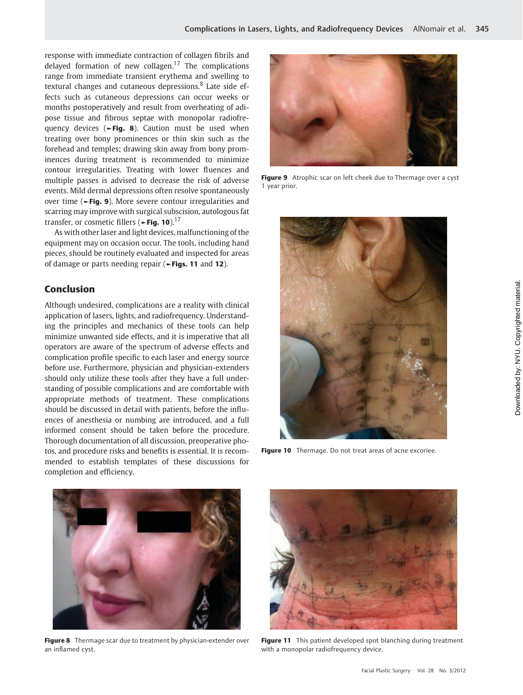response with immediate contraction of collagen fibrils and delayed formation of new collagen.<sup>17</sup> The complications range from immediate transient erythema and swelling to textural changes and cutaneous depressions.<sup>8</sup> Late side effects such as cutaneous depressions can occur weeks or months postoperatively and result from overheating of adipose tissue and fibrous septae with monopolar radiofrequency devices ( $\blacktriangleright$ Fig. 8). Caution must be used when treating over bony prominences or thin skin such as the forehead and temples; drawing skin away from bony prominences during treatment is recommended to minimize contour irregularities. Treating with lower fluences and multiple passes is advised to decrease the risk of adverse events. Mild dermal depressions often resolve spontaneously over time (►Fig. 9). More severe contour irregularities and scarring may improve with surgical subscision, autologous fat transfer, or cosmetic fillers ( $\blacktriangleright$ Fig. 10).<sup>17</sup>

As with other laser and light devices, malfunctioning of the equipment may on occasion occur. The tools, including hand pieces, should be routinely evaluated and inspected for areas of damage or parts needing repair (►Figs. 11 and 12).

## Conclusion

Although undesired, complications are a reality with clinical application of lasers, lights, and radiofrequency. Understanding the principles and mechanics of these tools can help minimize unwanted side effects, and it is imperative that all operators are aware of the spectrum of adverse effects and complication profile specific to each laser and energy source before use. Furthermore, physician and physician-extenders should only utilize these tools after they have a full understanding of possible complications and are comfortable with appropriate methods of treatment. These complications should be discussed in detail with patients, before the influences of anesthesia or numbing are introduced, and a full informed consent should be taken before the procedure. Thorough documentation of all discussion, preoperative photos, and procedure risks and benefits is essential. It is recommended to establish templates of these discussions for completion and efficiency.



Figure 9 Atrophic scar on left cheek due to Thermage over a cyst 1 year prior.



Figure 10 Thermage. Do not treat areas of acne excoriee.



Figure 8 Thermage scar due to treatment by physician-extender over an inflamed cyst.



Figure 11 This patient developed spot blanching during treatment with a monopolar radiofrequency device.